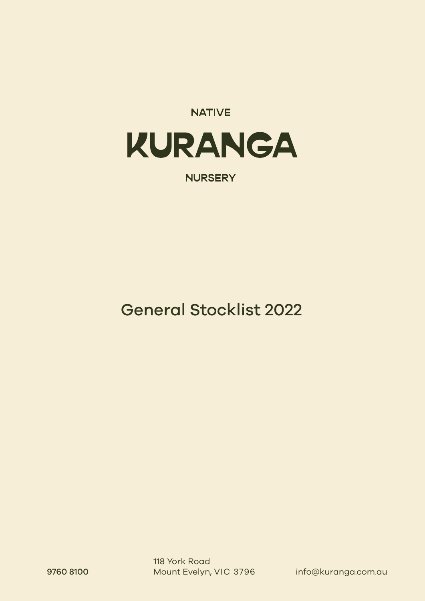# **NATIVE** KURANGA

**NURSERY** 

General Stocklist 2022

9760 8100 Mount Evelyn, VIC 3796 info@kuranga.com.au 118 York Road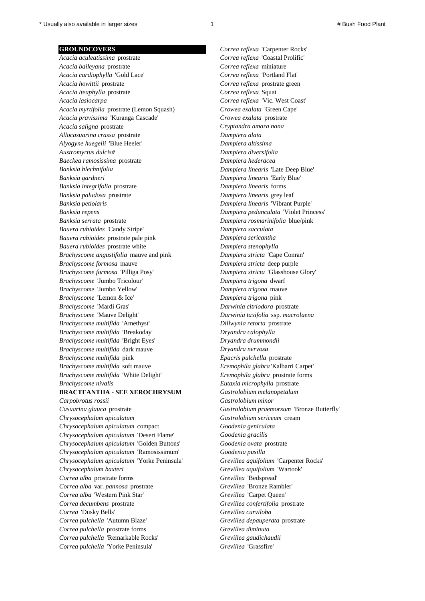*Acacia baileyana* prostrate *Correa reflexa* miniature *Acacia cardiophylla* 'Gold Lace' *Correa reflexa* 'Portland Flat' *Acacia howittii* prostrate *Correa reflexa* prostrate green *Acacia iteaphylla* prostrate *Correa reflexa* Squat *Acacia lasiocarpa Correa reflexa* 'Vic. West Coast' *Acacia myrtifolia* prostrate (Lemon Squash) *Crowea exalata* 'Green Cape' *Acacia pravissima* 'Kuranga Cascade' *Crowea exalata* prostrate *Acacia saligna* prostrate *Cryptandra amara nana Allocasuarina crassa* prostrate *Dampiera alata Alyogyne huegelii* 'Blue Heeler' *Dampiera altissima Austromyrtus dulcis# Dampiera diversifolia Baeckea ramosissima* prostrate *Dampiera hederacea Banksia blechnifolia Dampiera linearis* 'Late Deep Blue' *Banksia gardneri Dampiera linearis* 'Early Blue' *Banksia integrifolia* prostrate *Dampiera linearis* forms *Banksia paludosa* prostrate *Dampiera linearis* grey leaf *Banksia petiolaris Dampiera linearis* 'Vibrant Purple' *Banksia repens Dampiera pedunculata* 'Violet Princess' *Banksia serrata* prostrate *Dampiera rosmarinifolia* blue/pink *Bauera rubioides* 'Candy Stripe' *Dampiera sacculata Bauera rubioides* prostrate pale pink *Dampiera sericantha Bauera rubioides* prostrate white *Dampiera stenophylla Brachyscome angustifolia* mauve and pink *Dampiera stricta* 'Cape Conran' *Brachyscome formosa* mauve *Dampiera stricta* deep purple *Brachyscome formosa* 'Pilliga Posy' *Dampiera stricta* 'Glasshouse Glory' *Brachyscome* 'Jumbo Tricolour' *Dampiera trigona* dwarf *Brachyscome* 'Jumbo Yellow' *Dampiera trigona* mauve *Brachyscome* 'Lemon & Ice' *Dampiera trigona* pink *Brachyscome* 'Mardi Gras' *Darwinia citriodora* prostrate *Brachyscome* 'Mauve Delight' *Darwinia taxifolia* ssp. *macrolaena Brachyscome multifida* 'Amethyst' *Dillwynia retorta* prostrate *Brachyscome multifida* 'Breakoday' *Dryandra calophylla Brachyscome multifida* 'Bright Eyes' *Dryandra drummondii Brachyscome multifida* dark mauve *Dryandra nervosa Brachyscome multifida* pink *Epacris pulchella* prostrate *Brachyscome multifida* soft mauve *Eremophila glabra* 'Kalbarri Carpet' *Brachyscome multifida* 'White Delight' *Eremophila glabra* prostrate forms *Brachyscome nivalis Eutaxia microphylla* prostrate

## **BRACTEANTHA - SEE XEROCHRYSUM** *Gastrolobium melanopetalum*

*Casuarina glauca* prostrate *Gastrolobium praemorsum* 'Bronze Butterfly' *Chrysocephalum apiculatum Gastrolobium sericeum* cream *Chrysocephalum apiculatum* compact *Goodenia geniculata Chrysocephalum apiculatum* 'Desert Flame' *Goodenia gracilis Chrysocephalum apiculatum* 'Golden Buttons' *Goodenia ovata* prostrate *Chrysocephalum apiculatum* 'Ramosissimum' *Goodenia pusilla Chrysocephalum apiculatum* 'Yorke Peninsula' *Grevillea aquifolium* 'Carpenter Rocks' *Chrysocephalum baxteri Grevillea aquifolium* 'Wartook' *Correa alba* prostrate forms *Grevillea* 'Bedspread' *Correa alba* var. *pannosa* prostrate *Grevillea* 'Bronze Rambler' *Correa alba* 'Western Pink Star' *Grevillea* 'Carpet Queen' *Correa decumbens* prostrate *Grevillea confertifolia* prostrate *Correa* 'Dusky Bells' *Grevillea curviloba Correa pulchella* 'Autumn Blaze' *Grevillea depauperata* prostrate *Correa pulchella* prostrate forms *Grevillea diminuta Correa pulchella* 'Remarkable Rocks' *Grevillea gaudichaudii Correa pulchella* 'Yorke Peninsula' *Grevillea* 'Grassfire'

**GROUNDCOVERS** *Correa reflexa* 'Carpenter Rocks' *Acacia aculeatissima* prostrate *Correa reflexa* 'Coastal Prolific' *Carpobrotus rossii Gastrolobium minor*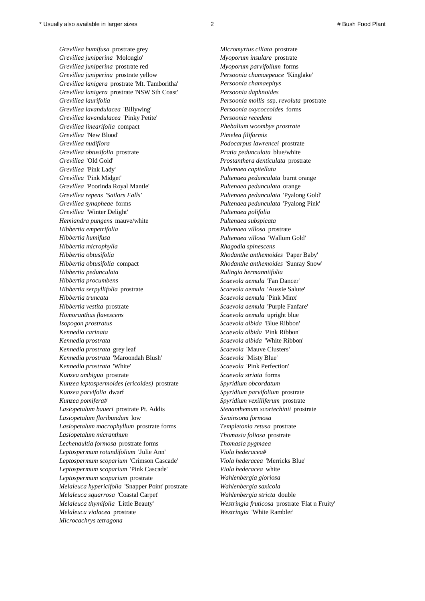*Microcachrys tetragona*

*Grevillea humifusa* prostrate grey *Micromyrtus ciliata* prostrate *Grevillea juniperina* 'Molonglo' *Myoporum insulare* prostrate *Grevillea juniperina* prostrate red *Myoporum parvifolium* forms *Grevillea lanigera* prostrate 'Mt. Tamboritha' *Persoonia chamaepitys Grevillea lanigera* prostrate 'NSW Sth Coast' *Persoonia daphnoides Grevillea lavandulacea* 'Pinky Petite' *Persoonia recedens Grevillea* 'New Blood' *Pimelea filiformis Grevillea* 'Pink Lady' *Pultenaea capitellata Grevillea* 'Winter Delight' *Pultenaea polifolia Hemiandra pungens* mauve/white *Pultenaea subspicata Hibbertia empetrifolia Pultenaea villosa* prostrate *Hibbertia microphylla Rhagodia spinescens Hibbertia pedunculata Rulingia hermanniifolia Hibbertia procumbens Scaevola aemula* 'Fan Dancer' *Hibbertia truncata Scaevola aemula '* Pink Minx' *Homoranthus flavescens Scaevola aemula* upright blue *Isopogon prostratus Scaevola albida* 'Blue Ribbon' *Kennedia carinata Scaevola albida* 'Pink Ribbon' *Kennedia prostrata* grey leaf *Scaevola* 'Mauve Clusters'

*Grevillea juniperina* prostrate yellow *Persoonia chamaepeuce* 'Kinglake' *Grevillea laurifolia Persoonia mollis* ssp. *revoluta* prostrate *Grevillea lavandulacea* 'Billywing' *Persoonia oxycoccoides* forms *Grevillea linearifolia* compact *Phebalium woombye prostrate Grevillea nudiflora Podocarpus lawrencei* prostrate *Grevillea obtusifolia* prostrate *Pratia pedunculata* blue/white *Grevillea* 'Old Gold' *Prostanthera denticulata* prostrate *Grevillea* 'Pink Midget' *Pultenaea pedunculata* burnt orange *Grevillea* 'Poorinda Royal Mantle' *Pultenaea pedunculata* orange *Grevillea repens* '*Sailors Falls' Pultenaea pedunculata* 'Pyalong Gold' *Grevillea synapheae* forms *Pultenaea pedunculata* 'Pyalong Pink' *Hibbertia humifusa Pultenaea villosa* 'Wallum Gold' *Hibbertia obtusifolia Rhodanthe anthemoides* 'Paper Baby' *Hibbertia obtusifolia* compact *Rhodanthe anthemoides* 'Sunray Snow' *Hibbertia serpyllifolia* prostrate *Scaevola aemula* 'Aussie Salute' *Hibbertia vestita* prostrate *Scaevola aemula* 'Purple Fanfare' *Kennedia prostrata Scaevola albida* 'White Ribbon' *Kennedia prostrata* 'Maroondah Blush' *Scaevola* 'Misty Blue' *Kennedia prostrata* 'White' *Scaevola* 'Pink Perfection' *Kunzea ambigua* prostrate *Scaevola striata* forms *Kunzea leptospermoides (ericoides)* prostrate *Spyridium obcordatum Kunzea parvifolia* dwarf *Spyridium parvifolium* prostrate *Kunzea pomifera# Spyridium vexilliferum* prostrate *Lasiopetalum baueri* prostrate Pt. Addis *Stenanthemum scortechinii* prostrate *Lasiopetalum floribundum* low *Swainsona formosa Lasiopetalum macrophyllum* prostrate forms *Templetonia retusa* prostrate *Lasiopetalum micranthum Thomasia foliosa* prostrate *Lechenaultia formosa* prostrate forms *Thomasia pygmaea Leptospermum rotundifolium* 'Julie Ann' *Viola hederacea# Leptospermum scoparium* 'Crimson Cascade' *Viola hederacea* 'Merricks Blue' *Leptospermum scoparium* 'Pink Cascade' *Viola hederacea* white *Leptospermum scoparium* prostrate *Wahlenbergia gloriosa Melaleuca hypericifolia* 'Snapper Point' prostrate *Wahlenbergia saxicola Melaleuca squarrosa* 'Coastal Carpet' *Wahlenbergia stricta* double *Melaleuca thymifolia* 'Little Beauty' *Westringia fruticosa* prostrate 'Flat n Fruity' *Melaleuca violacea* prostrate *Westringia* 'White Rambler'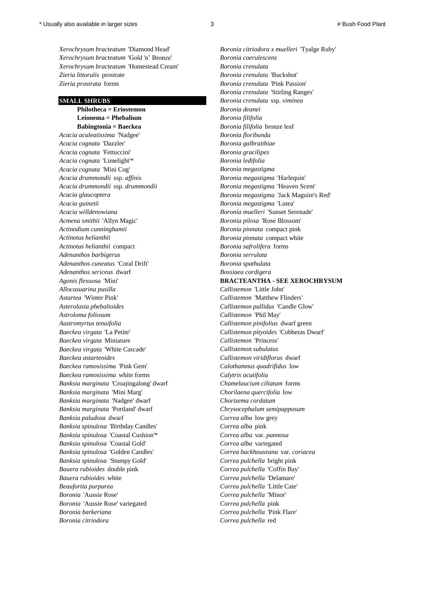*Xerochrysum bracteatum* 'Gold 'n' Bronze' *Boronia coerulescens Xerochrysum bracteatum* 'Homestead Cream' *Boronia crenulata Zieria littoralis* prostrate *Boronia crenulata* 'Buckshot' *Zieria prostrata* forms *Boronia crenulata* 'Pink Passion'

 **Philotheca = Eriostemon** *Boronia deanei*  **Leionema = Phebalium** *Boronia filifolia*   **Babingtonia = Baeckea** *Boronia filifolia* bronze leaf *Acacia aculeatissima* 'Nadgee' *Boronia floribunda Acacia cognata* 'Dazzler' *Boronia galbraithiae Acacia cognata* 'Fettuccini' *Boronia gracilipes Acacia cognata* 'Limelight'\* *Boronia ledifolia Acacia cognata* 'Mini Cog' *Boronia megastigma Acacia drummondii* ssp. *affinis Boronia megastigma* 'Harlequin' *Acacia drummondii* ssp. *drummondii Boronia megastigma* 'Heaven Scent' *Acacia glaucoptera Boronia megastigma* 'Jack Maguire's Red' *Acacia guinetii Boronia megastigma* 'Lutea' *Acacia willdenowiana Boronia muelleri* 'Sunset Serenade' *Acmena smithii* 'Allyn Magic' *Boronia pilosa* 'Rose Blossom' *Actinodium cunninghamii Boronia pinnata* compact pink *Actinotus helianthii Boronia pinnata* compact white *Actinotus helianthii* compact *Boronia safrolifera* forms *Adenanthos barbigerus Boronia serrulata Adenanthos cuneatus* 'Coral Drift' *Boronia spathulata Adenanthos sericeus* dwarf *Bossiaea cordigera Allocasuarina pusilla Callistemon* 'Little John' *Astartea* 'Winter Pink' *Callistemon* 'Matthew Flinders' *Asterolasia phebalioides Callistemon pallidus* 'Candle Glow' *Astroloma foliosum Callistemon* 'Phil May' *Austromyrtus tenuifolia Callistemon pinifolius* dwarf green *Baeckea virgata* 'La Petite' *Callistemon pityoides* 'Cobberas Dwarf' *Baeckea virgata* Miniature *Callistemon* 'Princess' *Baeckea virgata* 'White Cascade' *Callistemon subulatus Baeckea astarteoides Callistemon viridiflorus* dwarf *Baeckea ramosissima* 'Pink Gem' *Calothamnus quadrifidus* low *Baeckea ramosissima* white forms *Calytrix acutifolia Banksia marginata* 'Croajingalong' dwarf *Chamelaucium ciliatum* forms *Banksia marginata* 'Mini Marg' *Chorilaena quercifolia* low *Banksia marginata* 'Nadgee' dwarf *Chorizema cordatum Banksia marginata* 'Portland' dwarf *Chrysocephalum semipapposum Banksia paludosa* dwarf *Correa alba* low grey *Banksia spinulosa* 'Birthday Candles' *Correa alba* pink *Banksia spinulosa* 'Coastal Cushion'\* *Correa alba* var. *pannosa Banksia spinulosa* 'Coastal Gold' *Correa alba* variegated *Banksia spinulosa* 'Golden Candles' *Correa backhouseana* var. *coriacea Banksia spinulosa* 'Stumpy Gold' *Correa pulchella* bright pink *Bauera rubioides* double pink *Correa pulchella* 'Coffin Bay' *Bauera rubioides* white *Correa pulchella* 'Delamare' *Beaufortia purpurea Correa pulchella* 'Little Cate' *Boronia* 'Aussie Rose' *Correa pulchella* 'Minor' *Boronia* 'Aussie Rose' variegated *Correa pulchella* pink *Boronia barkeriana Correa pulchella* 'Pink Flare' *Boronia citriodora Correa pulchella* red

*Xerochrysum bracteatum* 'Diamond Head' *Boronia citriodora x muelleri* 'Tyalge Ruby' *Boronia crenulata* 'Stirling Ranges' **SMALL SHRUBS** *Boronia crenulata* ssp. *viminea Agonis flexuosa* 'Mini' **BRACTEANTHA - SEE XEROCHRYSUM**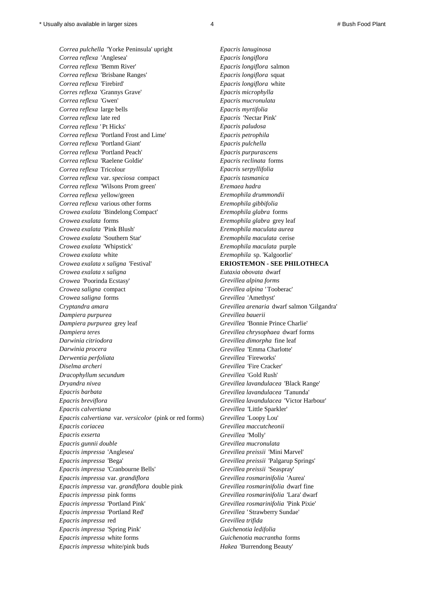*Correa pulchella* 'Yorke Peninsula' upright *Epacris lanuginosa Correa reflexa* 'Anglesea' *Epacris longiflora Correa reflexa* 'Bemm River' *Epacris longiflora* salmon *Correa reflexa* 'Brisbane Ranges' *Epacris longiflora* squat *Correa reflexa* 'Firebird' *Epacris longiflora* white *Corres reflexa* 'Grannys Grave' *Epacris microphylla Correa reflexa* 'Gwen' *Epacris mucronulata Correa reflexa* large bells *Epacris myrtifolia Correa reflexa* late red *Epacris* 'Nectar Pink' *Correa reflexa '* Pt Hicks' *Epacris paludosa Correa reflexa* 'Portland Frost and Lime' *Epacris petrophila Correa reflexa* 'Portland Giant' *Epacris pulchella Correa reflexa* 'Portland Peach' *Epacris purpurascens Correa reflexa* 'Raelene Goldie' *Epacris reclinata* forms *Correa reflexa* Tricolour *Epacris serpyllifolia Correa reflexa* var. *speciosa* compact *Epacris tasmanica Correa reflexa* 'Wilsons Prom green' *Eremaea hadra Correa reflexa* yellow/green *Eremophila drummondii Correa reflexa* various other forms *Eremophila gibbifolia Crowea exalata* 'Bindelong Compact' *Eremophila glabra* forms *Crowea exalata* forms *Eremophila glabra* grey leaf *Crowea exalata* 'Pink Blush' *Eremophila maculata aurea Crowea exalata* 'Southern Star' *Eremophila maculata* cerise *Crowea exalata* 'Whipstick' *Eremophila maculata* purple *Crowea exalata* white *Eremophila* sp. 'Kalgoorlie' *Crowea exalata x saligna* 'Festival' **ERIOSTEMON - SEE PHILOTHECA** *Crowea exalata x saligna Eutaxia obovata* dwarf *Crowea* 'Poorinda Ecstasy' *Grevillea alpina forms Crowea saligna* compact *Grevillea alpina '* Tooberac' *Crowea saligna* forms *Grevillea* 'Amethyst' *Cryptandra amara Grevillea arenaria* dwarf salmon 'Gilgandra' *Dampiera purpurea Grevillea bauerii Dampiera purpurea* grey leaf *Grevillea* 'Bonnie Prince Charlie' *Dampiera teres Grevillea chrysophaea* dwarf forms *Darwinia citriodora Grevillea dimorpha* fine leaf *Darwinia procera Grevillea* 'Emma Charlotte' *Derwentia perfoliata Grevillea* 'Fireworks' *Diselma archeri Grevillea* 'Fire Cracker' *Dracophyllum secundum Grevillea* 'Gold Rush' *Dryandra nivea Grevillea lavandulacea* 'Black Range' *Epacris barbata Grevillea lavandulacea* 'Tanunda' *Epacris breviflora Grevillea lavandulacea* 'Victor Harbour' *Epacris calvertiana Grevillea* 'Little Sparkler' *Epacris calvertiana* var. *versicolor* (pink or red forms) *Grevillea* 'Loopy Lou' *Epacris coriacea Grevillea maccutcheonii Epacris exserta Grevillea* 'Molly' *Epacris gunnii double Grevillea mucronulata Epacris impressa* 'Anglesea' *Grevillea preissii* 'Mini Marvel' *Epacris impressa* 'Bega' *Grevillea preissii* 'Palgarup Springs' *Epacris impressa* 'Cranbourne Bells' *Grevillea preissii* 'Seaspray' *Epacris impressa* var. *grandiflora Grevillea rosmarinifolia* 'Aurea' *Epacris impressa* var. *grandiflora* double pink *Grevillea rosmarinifolia* dwarf fine *Epacris impressa* pink forms *Grevillea rosmarinifolia* 'Lara' dwarf *Epacris impressa* 'Portland Pink' *Grevillea rosmarinifolia* 'Pink Pixie' *Epacris impressa* 'Portland Red' *Grevillea '* Strawberry Sundae' *Epacris impressa* red *Grevillea trifida Epacris impressa* 'Spring Pink' *Guichenotia ledifolia Epacris impressa* white forms *Guichenotia macrantha* forms *Epacris impressa* white/pink buds *Hakea* 'Burrendong Beauty'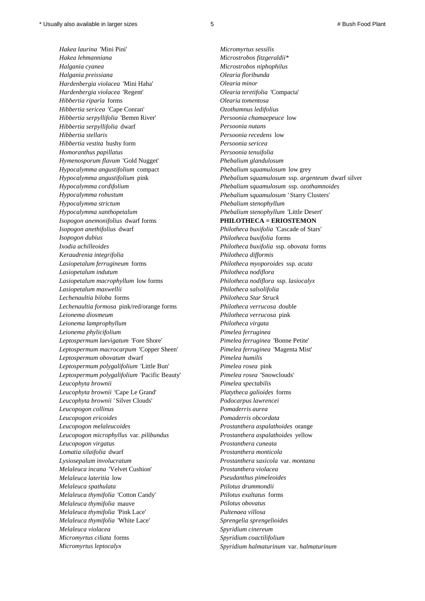*Hakea laurina* 'Mini Pini' *Micromyrtus sessilis Hakea lehmanniana Microstrobos fitzgeraldii\* Halgania cyanea Microstrobos niphophilus Halgania preissiana Olearia floribunda Hardenbergia violacea* 'Mini Haha' *Olearia minor Hardenbergia violacea* 'Regent' *Olearia teretifolia* 'Compacta' *Hibbertia riparia* forms *Olearia tomentosa Hibbertia sericea* 'Cape Conran' *Ozothamnus ledifolius Hibbertia serpyllifolia* 'Bemm River' *Persoonia chamaepeuce* low *Hibbertia serpyllifolia* dwarf *Persoonia nutans Hibbertia stellaris Persoonia recedens* low *Hibbertia vestita* bushy form *Persoonia sericea Homoranthus papillatus Persoonia tenuifolia Hymenosporum flavum* 'Gold Nugget' *Phebalium glandulosum Hypocalymma angustifolium* compact *Phebalium squamulosum* low grey *Hypocalymma cordifolium Phebalium squamulosum* ssp. *ozothamnoides Hypocalymma robustum Phebalium squamulosum '* Starry Clusters' *Hypocalymma strictum Phebalium stenophyllum Hypocalymma xanthopetalum Phebalium stenophyllum* 'Little Desert' *Isopogon anemonifolius* dwarf forms **PHILOTHECA = ERIOSTEMON** *Isopogon anethifolius* dwarf *Philotheca buxifolia* 'Cascade of Stars' *Isopogon dubius Philotheca buxifolia* forms *Ixodia achilleoides Philotheca buxifolia* ssp. *obovata* forms *Keraudrenia integrifolia Philotheca difformis Lasiopetalum ferrugineum* forms *Philotheca myoporoides* ssp. *acuta Lasiopetalum indutum Philotheca nodiflora Lasiopetalum macrophyllum* low forms *Philotheca nodiflora* ssp. *lasiocalyx Lasiopetalum maxwellii Philotheca salsolifolia Lechenaultia biloba* forms *Philotheca Star Struck Lechenaultia formosa* pink/red/orange forms *Philotheca verrucosa* double *Leionema diosmeum Philotheca verrucosa* pink *Leionema lamprophyllum Philotheca virgata Leionema phylicifolium Pimelea ferruginea Leptospermum laevigatum* 'Fore Shore' *Pimelea ferruginea* 'Bonne Petite' *Leptospermum macrocarpum* 'Copper Sheen' *Pimelea ferruginea* 'Magenta Mist' *Leptospermum obovatum* dwarf *Pimelea humilis Leptospermum polygalifolium* 'Little Bun' *Pimelea rosea* pink *Leptospermum polygalifolium* 'Pacific Beauty' *Pimelea rosea* 'Snowclouds' *Leucophyta brownii Pimelea spectabilis Leucophyta brownii* 'Cape Le Grand' *Platytheca galioides* forms *Leucophyta brownii '* Silver Clouds' *Podocarpus lawrencei Leucopogon collinus Pomaderris aurea Leucopogon ericoides Pomaderris obcordata Leucopogon melaleucoides Prostanthera aspalathoides* orange *Leucopogon microphyllus* var. *pilibundus Prostanthera aspalathoides* yellow *Leucopogon virgatus Prostanthera cuneata Lomatia silaifolia* dwarf *Prostanthera monticola Lysiosepalum involucratum Prostanthera saxicola* var. *montana Melaleuca incana* 'Velvet Cushion' *Prostanthera violacea Melaleuca lateritia* low *Pseudanthus pimeleoides Melaleuca spathulata Ptilotus drummondii Melaleuca thymifolia* 'Cotton Candy' *Ptilotus exaltatus* forms *Melaleuca thymifolia* mauve *Ptilotus obovatus Melaleuca thymifolia* 'Pink Lace' *Pultenaea villosa Melaleuca thymifolia* 'White Lace' *Sprengelia sprengelioides Melaleuca violacea Spyridium cinereum Micromyrtus ciliata* forms *Spyridium coactilifolium*

*Hypocalymma angustifolium* pink *Phebalium squamulosum* ssp. *argenteum* dwarf silver

*Micromyrtus leptocalyx Spyridium halmaturinum* var. *halmaturinum*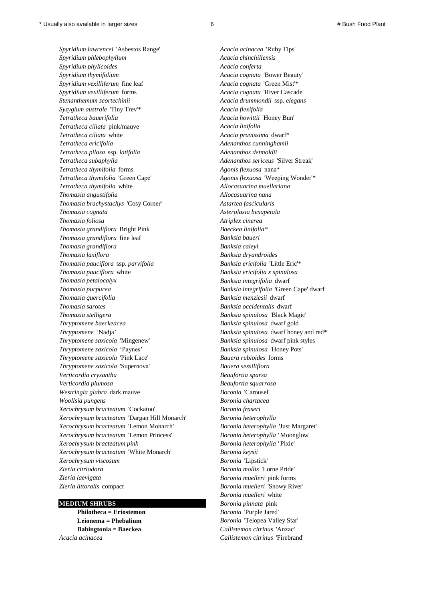*Spyridium lawrencei* 'Asbestos Range' *Acacia acinacea* 'Ruby Tips' *Spyridium phlebophyllum Acacia chinchillensis Spyridium phylicoides Acacia conferta Spyridium thymifolium Acacia cognata* 'Bower Beauty' *Spyridium vexilliferum* fine leaf *Acacia cognata* 'Green Mist'\* *Spyridium vexilliferum* forms *Acacia cognata* 'River Cascade' *Stenanthemum scortechinii Acacia drummondii* ssp. *elegans Syzygium australe* 'Tiny Trev'\* *Acacia flexifolia Tetratheca bauerifolia Acacia howittii* 'Honey Bun' *Tetratheca ciliata* pink/mauve *Acacia linifolia Tetratheca ciliata* white *Acacia pravissima* dwarf\* *Tetratheca ericifolia Adenanthos cunninghamii Tetratheca pilosa* ssp. *latifolia Adenanthos detmoldii Tetratheca subaphylla Adenanthos sericeus* 'Silver Streak' *Tetratheca thymifolia* forms *Agonis flexuosa* nana\* *Tetratheca thymifolia* 'Green Cape' *Agonis flexuosa* 'Weeping Wonder'\* *Tetratheca thymifolia* white *Allocasuarina muelleriana Thomasia angustifolia Allocasuarina nana Thomasia brachystachys* 'Cosy Corner' *Astartea fascicularis Thomasia cognata Asterolasia hexapetala Thomasia foliosa Atriplex cinerea Thomasia grandiflora* Bright Pink *Baeckea linifolia\* Thomasia grandiflora* fine leaf *Banksia baueri Thomasia grandiflora Banksia caleyi Thomasia laxiflora Banksia dryandroides Thomasia pauciflora* ssp*. parvifolia Banksia ericifolia* 'Little Eric'\* *Thomasia pauciflora* white *Banksia ericifolia x spinulosa Thomasia petalocalyx Banksia integrifolia* dwarf *Thomasia purpurea Banksia integrifolia* 'Green Cape' dwarf *Thomasia quercifolia Banksia menziesii* dwarf *Thomasia sarotes Banksia occidentalis* dwarf *Thomasia stelligera Banksia spinulosa* 'Black Magic' *Thryptomene baeckeacea Banksia spinulosa* dwarf gold *Thryptomene* 'Nadja' *Banksia spinulosa* dwarf honey and red\* *Thryptomene saxicola* 'Mingenew' *Banksia spinulosa* dwarf pink styles *Thryptomene saxicola* 'Paynes' *Banksia spinulosa* 'Honey Pots' *Thryptomene saxicola* 'Pink Lace' *Bauera rubioides* forms *Thryptomene saxicola* 'Supernova' *Bauera sessiliflora Verticordia crysantha Beaufortia sparsa Verticordia plumosa Beaufortia squarrosa Westringia glabra* dark mauve *Boronia* 'Carousel' *Woollsia pungens Boronia chartacea Xerochrysum bracteatum* 'Cockatoo' *Boronia fraseri Xerochrysum bracteatum* 'Dargan Hill Monarch' *Boronia heterophylla Xerochrysum bracteatum* 'Lemon Monarch' *Boronia heterophylla* 'Just Margaret' *Xerochrysum bracteatum* 'Lemon Princess' *Boronia heterophylla '* Moonglow' *Xerochrysum bracteatum pink Boronia heterophylla '* Pixie' *Xerochrysum bracteatum* 'White Monarch' *Boronia keysii Xerochrysum viscosum Boronia* 'Lipstick' *Zieria citriodora Boronia mollis* 'Lorne Pride' *Zieria laevigata Boronia muelleri* pink forms *Zieria littoralis* compact *Boronia muelleri* 'Snowy River'

*Acacia acinacea Callistemon citrinus* 'Firebrand'

*Boronia muelleri* white **MEDIUM SHRUBS** *Boronia pinnata* pink  **Philotheca = Eriostemon** *Boronia* 'Purple Jared'  **Leionema = Phebalium** *Boronia* 'Telopea Valley Star'  **Babingtonia = Baeckea** *Callistemon citrinus* 'Anzac'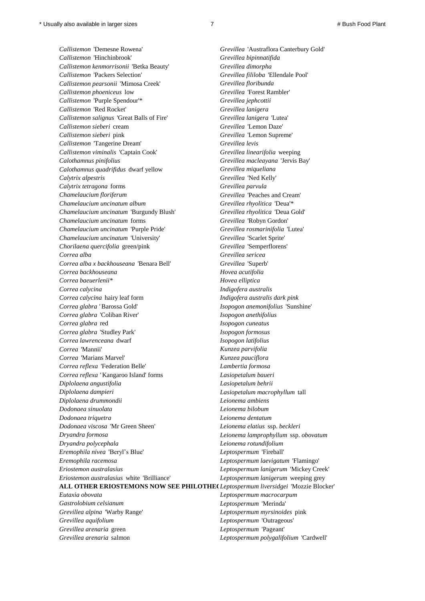*Callistemon* 'Demesne Rowena' *Grevillea* 'Austraflora Canterbury Gold' *Callistemon* 'Hinchinbrook' *Grevillea bipinnatifida Callistemon kenmorrisonii* 'Betka Beauty' *Grevillea dimorpha Callistemon* 'Packers Selection' *Grevillea fililoba* 'Ellendale Pool' *Callistemon pearsonii* 'Mimosa Creek' *Grevillea floribunda Callistemon phoeniceus* low *Grevillea* 'Forest Rambler' *Callistemon* 'Purple Spendour'\* *Grevillea jephcottii Callistemon* 'Red Rocket' *Grevillea lanigera Callistemon salignus* 'Great Balls of Fire' *Grevillea lanigera* 'Lutea' *Callistemon sieberi* cream *Grevillea* 'Lemon Daze' *Callistemon sieberi* pink *Grevillea* 'Lemon Supreme' *Callistemon* 'Tangerine Dream' *Grevillea levis Callistemon viminalis* 'Captain Cook' *Grevillea linearifolia* weeping *Calothamnus pinifolius Grevillea macleayana* 'Jervis Bay' *Calothamnus quadrifidus* dwarf yellow *Grevillea miqueliana Calytrix alpestris Grevillea* 'Ned Kelly' *Calytrix tetragona* forms *Grevillea parvula Chamelaucium floriferum Grevillea* 'Peaches and Cream' *Chamelaucium uncinatum album Grevillea rhyolitica* 'Deua'\* *Chamelaucium uncinatum* 'Burgundy Blush' *Grevillea rhyolitica* 'Deua Gold' *Chamelaucium uncinatum* forms *Grevillea* 'Robyn Gordon' *Chamelaucium uncinatum* 'Purple Pride' *Grevillea rosmarinifolia* 'Lutea' *Chamelaucium uncinatum* 'University' *Grevillea* 'Scarlet Sprite' *Chorilaena quercifolia* green/pink *Grevillea* 'Semperflorens' *Correa alba Grevillea sericea Correa alba x backhouseana* 'Benara Bell' *Grevillea* 'Superb' *Correa backhouseana Hovea acutifolia Correa baeuerlenii\* Hovea elliptica Correa calycina Indigofera australis Correa calycina* hairy leaf form *Indigofera australis dark pink Correa glabra '* Barossa Gold' *Isopogon anemonifolius* 'Sunshine' *Correa glabra* 'Coliban River' *Isopogon anethifolius Correa glabra* red *Isopogon cuneatus Correa glabra* 'Studley Park' *Isopogon formosus Correa lawrenceana* dwarf *Isopogon latifolius Correa* 'Mannii' *Kunzea parvifolia Correa* 'Marians Marvel' *Kunzea pauciflora Correa reflexa* 'Federation Belle' *Lambertia formosa Correa reflexa '* Kangaroo Island' forms *Lasiopetalum baueri Diplolaena angustifolia Lasiopetalum behrii Diplolaena dampieri Lasiopetalum macrophyllum* tall *Diplolaena drummondii Leionema ambiens Dodonaea sinuolata Leionema bilobum Dodonaea triquetra Leionema dentatum Dodonaea viscosa* 'Mr Green Sheen' *Leionema elatius* ssp. *beckleri Dryandra formosa Leionema lamprophyllum* ssp. *obovatum Dryandra polycephala Leionema rotundifolium Eremophila nivea* 'Beryl's Blue' *Leptospermum* 'Fireball' *Eremophila racemosa Leptospermum laevigatum* 'Flamingo' *Eriostemon australasius Leptospermum lanigerum* 'Mickey Creek' *Eriostemon australasius* white 'Brilliance' *Leptospermum lanigerum* weeping grey **ALL OTHER ERIOSTEMONS NOW SEE PHILOTHECA***Leptospermum liversidgei* 'Mozzie Blocker' *Eutaxia obovata Leptospermum macrocarpum Gastrolobium celsianum Leptospermum* 'Merinda' *Grevillea alpina* 'Warby Range' *Leptospermum myrsinoides* pink *Grevillea aquifolium Leptospermum* 'Outrageous' *Grevillea arenaria* green *Leptospermum* 'Pageant'

*Grevillea arenaria* salmon *Leptospermum polygalifolium* 'Cardwell'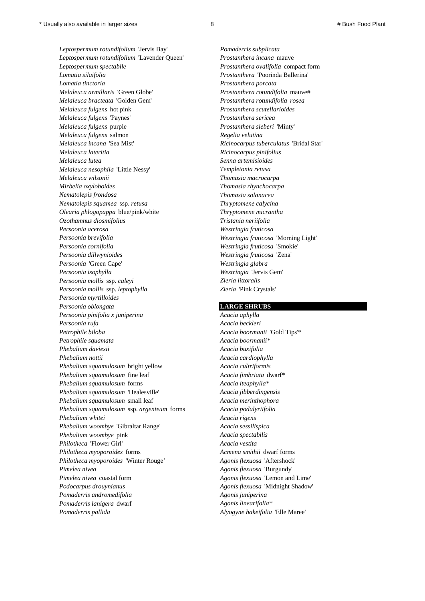*Leptospermum rotundifolium* 'Jervis Bay' *Pomaderris subplicata Leptospermum rotundifolium* 'Lavender Queen' *Prostanthera incana* mauve *Leptospermum spectabile Prostanthera ovalifolia* compact form *Lomatia silaifolia Prostanthera* 'Poorinda Ballerina' *Lomatia tinctoria Prostanthera porcata Melaleuca armillaris* 'Green Globe' *Prostanthera rotundifolia* mauve# *Melaleuca bracteata* 'Golden Gem' *Prostanthera rotundifolia rosea Melaleuca fulgens* hot pink *Prostanthera scutellarioides Melaleuca fulgens* 'Paynes' *Prostanthera sericea Melaleuca fulgens* purple *Prostanthera sieberi* 'Minty' *Melaleuca fulgens* salmon *Regelia velutina Melaleuca incana* 'Sea Mist' *Ricinocarpus tuberculatus* 'Bridal Star' *Melaleuca lateritia Ricinocarpus pinifolius Melaleuca lutea Senna artemisioides Melaleuca nesophila* 'Little Nessy' *Templetonia retusa Melaleuca wilsonii Thomasia macrocarpa Mirbelia oxyloboides Thomasia rhynchocarpa Nematolepis frondosa Thomasia solanacea Nematolepis squamea* ssp. *retusa Thryptomene calycina Olearia phlogopappa* blue/pink/white *Thryptomene micrantha Ozothamnus diosmifolius Tristania neriifolia Persoonia acerosa Westringia fruticosa Persoonia brevifolia Westringia fruticosa* 'Morning Light' *Persoonia cornifolia Westringia fruticosa* 'Smokie' *Persoonia dillwynioides Westringia fruticosa* 'Zena' *Persoonia* 'Green Cape' *Westringia glabra Persoonia isophylla Westringia* 'Jervis Gem' *Persoonia mollis* ssp. *caleyi Zieria littoralis Persoonia mollis* ssp. *leptophylla Zieria* 'Pink Crystals' *Persoonia myrtilloides Persoonia oblongata* **LARGE SHRUBS** *Persoonia pinifolia x juniperina Acacia aphylla Persoonia rufa Acacia beckleri Petrophile biloba Acacia boormanii* 'Gold Tips'\* *Petrophile squamata Acacia boormanii\* Phebalium daviesii Acacia buxifolia Phebalium nottii Acacia cardiophylla Phebalium squamulosum* bright yellow *Acacia cultriformis Phebalium squamulosum* fine leaf *Acacia fimbriata* dwarf\* *Phebalium squamulosum* forms *Acacia iteaphylla\* Phebalium squamulosum* 'Healesville' *Acacia jibberdingensis Phebalium squamulosum* small leaf *Acacia merinthophora Phebalium squamulosum* ssp. *argenteum* forms *Acacia podalyriifolia Phebalium whitei Acacia rigens Phebalium woombye* 'Gibraltar Range' *Acacia sessilispica Phebalium woombye* pink *Acacia spectabilis Philotheca* 'Flower Girl' *Acacia vestita Philotheca myoporoides* forms *Acmena smithii* dwarf forms *Philotheca myoporoides* 'Winter Rouge*' Agonis flexuosa* 'Aftershock' *Pimelea nivea Agonis flexuosa* 'Burgundy' *Pimelea nivea* coastal form *Agonis flexuosa* 'Lemon and Lime' *Podocarpus drouynianus Agonis flexuosa* 'Midnight Shadow' *Pomaderris andromedifolia Agonis juniperina Pomaderris lanigera* dwarf *Agonis linearifolia\* Agonis linearifolia\** 

*Pomaderris pallida Alyogyne hakeifolia* 'Elle Maree'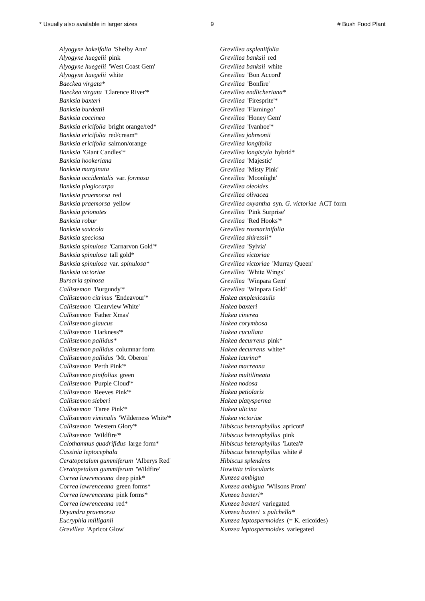*Alyogyne hakeifolia* 'Shelby Ann' *Grevillea aspleniifolia Alyogyne huegelii* pink *Grevillea banksii* red *Alyogyne huegelii* 'West Coast Gem' *Grevillea banksii* white *Alyogyne huegelii* white *Grevillea* 'Bon Accord' *Baeckea virgata\* Grevillea* 'Bonfire' *Baeckea virgata* 'Clarence River'\* *Grevillea endlicheriana\* Banksia baxteri Grevillea* 'Firesprite'\* *Banksia burdettii Grevillea* 'Flamingo' *Banksia coccinea Grevillea* 'Honey Gem' *Banksia ericifolia* bright orange/red\* *Grevillea* 'Ivanhoe'\* *Banksia ericifolia* red/cream\* *Grevillea johnsonii Banksia ericifolia* salmon/orange *Grevillea longifolia Banksia* 'Giant Candles'\* *Grevillea longistyla* hybrid\* *Banksia hookeriana Grevillea* 'Majestic' *Banksia marginata Grevillea* 'Misty Pink' *Banksia occidentalis* var. *formosa Grevillea* 'Moonlight' *Banksia plagiocarpa Grevillea oleoides Banksia praemorsa* red *Grevillea olivacea Banksia prionotes Grevillea* 'Pink Surprise' *Banksia robur Grevillea* 'Red Hooks'\* *Banksia saxicola Grevillea rosmarinifolia Banksia speciosa Grevillea shiressii\* Banksia spinulosa* 'Carnarvon Gold'\* *Grevillea* 'Sylvia' *Banksia spinulosa* tall gold\* *Grevillea victoriae Banksia spinulosa* var. *spinulosa\* Grevillea victoriae* 'Murray Queen' *Banksia victoriae Grevillea* 'White Wings' *Bursaria spinosa Grevillea* 'Winpara Gem' *Callistemon* 'Burgundy'\* *Grevillea* 'Winpara Gold' *Callistemon citrinus* 'Endeavour'\* *Hakea amplexicaulis Callistemon* 'Clearview White' *Hakea baxteri Callistemon* 'Father Xmas' *Hakea cinerea Callistemon glaucus Hakea corymbosa Callistemon* 'Harkness'\* *Hakea cucullata Callistemon pallidus\* Hakea decurrens* pink\* *Callistemon pallidus* columnar form *Hakea decurrens* white*\* Callistemon pallidus* 'Mt. Oberon' *Hakea laurina\* Callistemon* 'Perth Pink'\* *Hakea macreana Callistemon pinifolius* green *Hakea multilineata Callistemon* 'Purple Cloud'\* *Hakea nodosa Callistemon* 'Reeves Pink'\* *Hakea petiolaris Callistemon sieberi Hakea platysperma Callistemon* 'Taree Pink'\* *Hakea ulicina Callistemon viminalis* 'Wilderness White'\* *Hakea victoriae Callistemon* 'Western Glory'\* *Hibiscus heterophyllus* apricot# *Callistemon* 'Wildfire'\* *Hibiscus heterophyllus* pink *Calothamnus quadrifidus* large form\* *Hibiscus heterophyllus* 'Lutea'*# Cassinia leptocephala Hibiscus heterophyllus* white # *Ceratopetalum gummiferum* 'Alberys Red' *Hibiscus splendens Ceratopetalum gummiferum* 'Wildfire' *Howittia trilocularis Correa lawrenceana* deep pink\* *Kunzea ambigua Correa lawrenceana* green forms\* *Kunzea ambigua* 'Wilsons Prom' *Correa lawrenceana* pink forms\* *Kunzea baxteri\* Correa lawrenceana* red\* *Kunzea baxteri* variegated *Dryandra praemorsa Kunzea baxteri* x *pulchella\* Eucryphia milliganii Kunzea leptospermoides* (= K. ericoides) *Grevillea* 'Apricot Glow' *Kunzea leptospermoides* variegated

*Banksia praemorsa* yellow *Grevillea oxyantha* syn. *G. victoriae* ACT form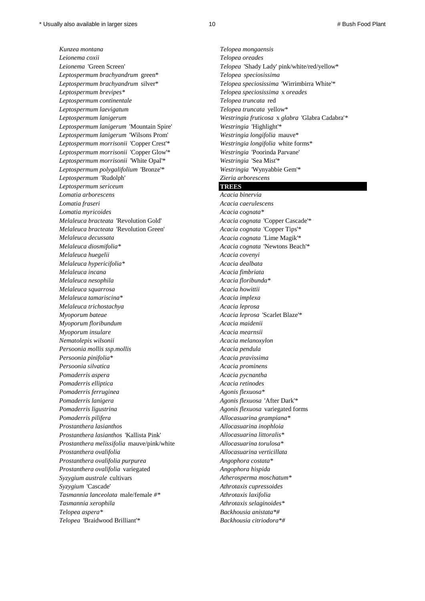*Kunzea montana Telopea mongaensis Leionema coxii Telopea oreades Leionema* 'Green Screen' *Telopea* 'Shady Lady' pink/white/red/yellow\* *Leptospermum brachyandrum* green\* *Telopea speciosissima Leptospermum brachyandrum* silver\* *Telopea speciosissima* 'Wirrimbirra White'\* *Leptospermum brevipes\* Telopea speciosissima* x *oreades Leptospermum continentale Telopea truncata* red *Leptospermum laevigatum Telopea truncata* yellow\* *Leptospermum lanigerum* 'Mountain Spire' *Westringia* 'Highlight'\* *Leptospermum lanigerum* 'Wilsons Prom' *Westringia longifolia* mauve\* *Leptospermum morrisonii* 'Copper Crest'\* *Westringia longifolia* white forms\* *Leptospermum morrisonii* 'Copper Glow'\* *Westringia* 'Poorinda Parvane' *Leptospermum morrisonii* 'White Opal'\* *Westringia* 'Sea Mist'\* *Leptospermum polygalifolium* 'Bronze'\* *Westringia* 'Wynyabbie Gem'\* *Leptospermum* 'Rudolph' *Zieria arborescens Leptospermum sericeum* **TREES** *Lomatia arborescens Acacia binervia Lomatia fraseri Acacia caerulescens Lomatia myricoides Acacia cognata\* Melaleuca bracteata* 'Revolution Gold' *Acacia cognata* 'Copper Cascade'\* *Melaleuca bracteata* 'Revolution Green' *Acacia cognata* 'Copper Tips'\* *Melaleuca decussata Acacia cognata* 'Lime Magik'\* *Melaleuca diosmifolia\* Acacia cognata* 'Newtons Beach'\* *Melaleuca huegelii Acacia covenyi Melaleuca hypericifolia\* Acacia dealbata Melaleuca incana Acacia fimbriata Melaleuca nesophila Acacia floribunda\* Melaleuca squarrosa Acacia howittii Melaleuca tamariscina\* Acacia implexa Melaleuca trichostachya Acacia leprosa Myoporum bateae Acacia leprosa* 'Scarlet Blaze'\* *Myoporum floribundum Acacia maidenii Myoporum insulare Acacia mearnsii Nematolepis wilsonii Acacia melanoxylon Persoonia mollis ssp.mollis Acacia pendula Persoonia pinifolia\* Acacia pravissima Persoonia silvatica Acacia prominens Pomaderris aspera Acacia pycnantha Pomaderris elliptica Acacia retinodes Pomaderris ferruginea Agonis flexuosa\* Pomaderris lanigera Agonis flexuosa* 'After Dark'\* *Pomaderris ligustrina Agonis flexuosa* variegated forms *Pomaderris pilifera Allocasuarina grampiana\* Prostanthera lasianthos Allocasuarina inophloia Prostanthera lasianthos* 'Kallista Pink' *Allocasuarina littoralis\* Prostanthera melissifolia* mauve/pink/white *Allocasuarina torulosa\* Prostanthera ovalifolia Allocasuarina verticillata Prostanthera ovalifolia purpurea Angophora costata\* Prostanthera ovalifolia* variegated *Angophora hispida Syzygium australe* cultivars *Atherosperma moschatum\* Syzygium* 'Cascade' *Athrotaxis cupressoides Tasmannia lanceolata* male/female *#\* Athrotaxis laxifolia Tasmannia xerophila Athrotaxis selaginoides\* Telopea aspera\* Backhousia anistata\*# Telopea* 'Braidwood Brilliant'\* *Backhousia citriodora\*#*

*Leptospermum lanigerum Westringia fruticosa* x *glabra* 'Glabra Cadabra'*\**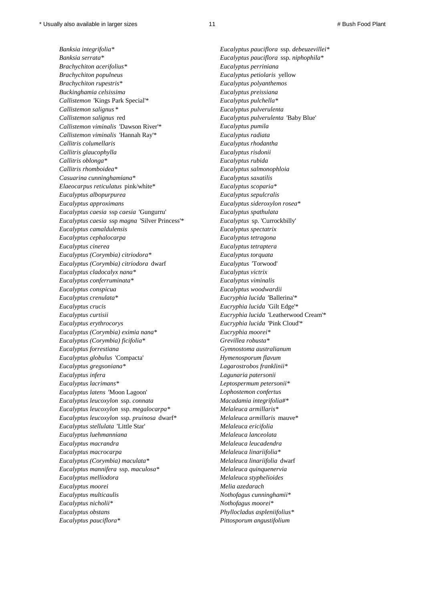*Banksia integrifolia\* Eucalyptus pauciflora* ssp. *debeuzevillei\* Banksia serrata\* Eucalyptus pauciflora* ssp. *niphophila\* Brachychiton acerifolius\* Eucalyptus perriniana Brachychiton populneus Eucalyptus petiolaris* yellow *Brachychiton rupestris\* Eucalyptus polyanthemos Buckinghamia celsissima Eucalyptus preissiana Callistemon* 'Kings Park Special'\* *Eucalyptus pulchella\* Callistemon salignus* \* *Eucalyptus pulverulenta Callistemon salignus* red *Eucalyptus pulverulenta* 'Baby Blue' *Callistemon viminalis* 'Dawson River'\* *Eucalyptus pumila Callistemon viminalis* 'Hannah Ray'\* *Eucalyptus radiata Callitris columellaris Eucalyptus rhodantha Callitris glaucophylla Eucalyptus risdonii Callitris oblonga\* Eucalyptus rubida Callitris rhomboidea\* Eucalyptus salmonophloia Casuarina cunninghamiana\* Eucalyptus saxatilis Elaeocarpus reticulatus* pink/white\* *Eucalyptus scoparia\* Eucalyptus albopurpurea Eucalyptus sepulcralis Eucalyptus approximans Eucalyptus sideroxylon rosea\* Eucalyptus caesia* ssp *caesia* 'Gungurru' *Eucalyptus spathulata Eucalyptus caesia* ssp *magna* 'Silver Princess'\* *Eucalyptus* sp. 'Currockbilly' *Eucalyptus camaldulensis Eucalyptus spectatrix Eucalyptus cephalocarpa Eucalyptus tetragona Eucalyptus cinerea Eucalyptus tetraptera Eucalyptus (Corymbia) citriodora\* Eucalyptus torquata Eucalyptus (Corymbia) citriodora* dwarf *Eucalyptus* 'Torwood' *Eucalyptus cladocalyx nana\* Eucalyptus victrix Eucalyptus conferruminata\* Eucalyptus viminalis Eucalyptus conspicua Eucalyptus woodwardii Eucalyptus crenulata\* Eucryphia lucida* 'Ballerina'\* *Eucalyptus crucis Eucryphia lucida* 'Gilt Edge'\* *Eucalyptus curtisii Eucryphia lucida* 'Leatherwood Cream'\* *Eucalyptus erythrocorys Eucryphia lucida* 'Pink Cloud'\* *Eucalyptus (Corymbia) eximia nana\* Eucryphia moorei\* Eucalyptus (Corymbia) ficifolia\* Grevillea robusta\* Eucalyptus forrestiana Gymnostoma australianum Eucalyptus globulus* 'Compacta' *Hymenosporum flavum Eucalyptus gregsoniana\* Lagarostrobos franklinii\* Eucalyptus infera Lagunaria patersonii Eucalyptus lacrimans\* Leptospermum petersonii\* Eucalyptus latens* 'Moon Lagoon' *Lophostemon confertus Eucalyptus leucoxylon* ssp. *connata Macadamia integrifolia#\* Eucalyptus leucoxylon* ssp. *megalocarpa\* Melaleuca armillaris\* Eucalyptus leucoxylon* ssp. *pruinosa* dwarf\* *Melaleuca armillaris* mauve\* *Eucalyptus stellulata* 'Little Star' *Melaleuca ericifolia Eucalyptus luehmanniana Melaleuca lanceolata Eucalyptus macrandra Melaleuca leucadendra Eucalyptus macrocarpa Melaleuca linariifolia\* Eucalyptus (Corymbia) maculata\* Melaleuca linariifolia* dwarf *Eucalyptus mannifera* ssp. *maculosa\* Melaleuca quinquenervia Eucalyptus melliodora Melaleuca styphelioides Eucalyptus moorei Melia azedarach Eucalyptus multicaulis Nothofagus cunninghamii\* Eucalyptus nicholii\* Nothofagus moorei\* Eucalyptus obstans Phyllocladus aspleniifolius\* Eucalyptus pauciflora\* Pittosporum angustifolium*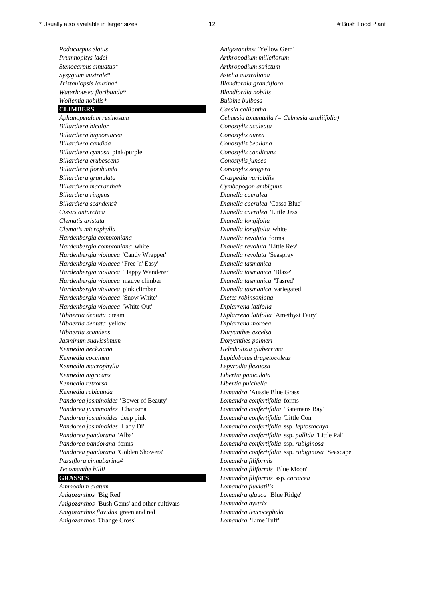*Prumnopitys ladei Arthropodium milleflorum Stenocarpus sinuatus\* Arthropodium strictum Syzygium australe\* Astelia australiana Tristaniopsis laurina\* Blandfordia grandiflora Waterhousea floribunda\* Blandfordia nobilis Wollemia nobilis\* Bulbine bulbosa*

*Billardiera bicolor Conostylis aculeata Billardiera bignoniacea Conostylis aurea Billardiera candida Conostylis bealiana Billardiera cymosa* pink/purple *Conostylis candicans Billardiera erubescens Conostylis juncea Billardiera floribunda Conostylis setigera Billardiera granulata Craspedia variabilis Billardiera macrantha# Cymbopogon ambiguus Billardiera ringens Dianella caerulea Billardiera scandens# Dianella caerulea* 'Cassa Blue' *Cissus antarctica Dianella caerulea* 'Little Jess' *Clematis aristata Dianella longifolia Clematis microphylla Dianella longifolia* white *Hardenbergia comptoniana Dianella revoluta* forms *Hardenbergia comptoniana* white *Dianella revoluta* 'Little Rev' *Hardenbergia violacea* 'Candy Wrapper' *Dianella revoluta* 'Seaspray' *Hardenbergia violacea '* Free 'n' Easy' *Dianella tasmanica Hardenbergia violacea* 'Happy Wanderer' *Dianella tasmanica* 'Blaze' *Hardenbergia violacea* mauve climber *Dianella tasmanica* 'Tasred' *Hardenbergia violacea* pink climber *Dianella tasmanica* variegated *Hardenbergia violacea* 'Snow White' *Dietes robinsoniana Hardenbergia violacea* 'White Out' *Diplarrena latifolia Hibbertia dentata* cream *Diplarrena latifolia* 'Amethyst Fairy' *Hibbertia dentata* yellow *Diplarrena moroea Hibbertia scandens Doryanthes excelsa Jasminum suavissimum Doryanthes palmeri Kennedia beckxiana Helmholtzia glaberrima Kennedia coccinea Lepidobolus drapetocoleus Kennedia macrophylla Lepyrodia flexuosa Kennedia nigricans Libertia paniculata Kennedia retrorsa Libertia pulchella Kennedia rubicunda Lomandra* 'Aussie Blue Grass' *Pandorea jasminoides '* Bower of Beauty' *Lomandra confertifolia* forms *Pandorea jasminoides* 'Charisma' *Lomandra confertifolia* 'Batemans Bay' *Pandorea jasminoides* deep pink *Lomandra confertifolia* 'Little Con' *Pandorea jasminoides* 'Lady Di' *Lomandra confertifolia* ssp. *leptostachya Pandorea pandorana* forms *Lomandra confertifolia* ssp. *rubiginosa Passiflora cinnabarina# Lomandra filiformis Tecomanthe hillii Lomandra filiformis* 'Blue Moon'

*Ammobium alatum Lomandra fluviatilis Anigozanthos* 'Big Red' *Lomandra glauca* 'Blue Ridge' *Anigozanthos* 'Bush Gems' and other cultivars *Lomandra hystrix Anigozanthos flavidus* green and red *Lomandra leucocephala Anigozanthos* 'Orange Cross' *Lomandra* 'Lime Tuff'

*Podocarpus elatus Anigozanthos* 'Yellow Gem' **CLIMBERS** *Caesia calliantha Aphanopetalum resinosum Celmesia tomentella (= Celmesia asteliifolia) Pandorea pandorana* 'Alba' *Lomandra confertifolia* ssp. *pallida* 'Little Pal' *Pandorea pandorana* 'Golden Showers' *Lomandra confertifolia* ssp. *rubiginosa* 'Seascape' **GRASSES** *Lomandra filiformis* ssp. *coriacea*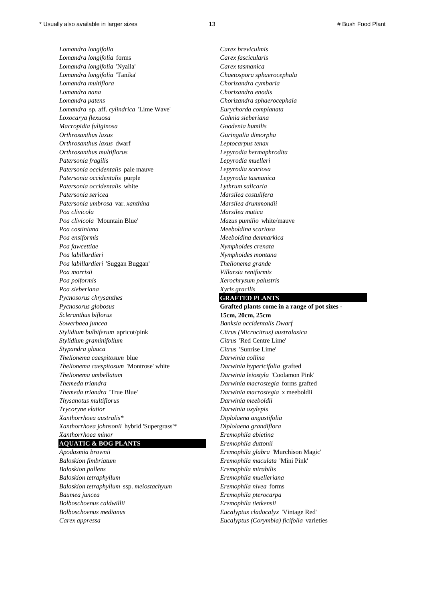*Lomandra longifolia Carex breviculmis Lomandra longifolia* forms *Carex fascicularis Lomandra longifolia* 'Nyalla' *Carex tasmanica Lomandra longifolia* 'Tanika' *Chaetospora sphaerocephala Lomandra multiflora Chorizandra cymbaria Lomandra nana Chorizandra enodis Lomandra patens Chorizandra sphaerocephala Lomandra* sp. aff. *cylindrica* 'Lime Wave' *Eurychorda complanata Loxocarya flexuosa Gahnia sieberiana Macropidia fuliginosa Goodenia humilis Orthrosanthus laxus Guringalia dimorpha Orthrosanthus laxus* dwarf *Leptocarpus tenax Orthrosanthus multiflorus Lepyrodia hermaphrodita Patersonia fragilis Lepyrodia muelleri Patersonia occidentalis* pale mauve *Lepyrodia scariosa Patersonia occidentalis* purple *Lepyrodia tasmanica Patersonia occidentalis* white *Lythrum salicaria Patersonia sericea Marsilea costulifera Patersonia umbrosa* var. *xanthina Marsilea drummondii Poa clivicola Marsilea mutica Poa clivicola* 'Mountain Blue' *Mazus pumilio* white/mauve *Poa costiniana Meeboldina scariosa Poa ensiformis Meeboldina denmarkica Poa fawcettiae Nymphoides crenata Poa labillardieri Nymphoides montana Poa labillardieri* 'Suggan Buggan' *Thelionema grande Poa morrisii Villarsia reniformis Poa poiformis Xerochrysum palustris Poa sieberiana Xyris gracilis Pycnosorus chrysanthes* **GRAFTED PLANTS**  *Pycnosorus globosus* **Grafted plants come in a range of pot sizes -**  *Scleranthus biflorus* **15cm, 20cm, 25cm** *Sowerbaea juncea Banksia occidentalis Dwarf Stylidium bulbiferum* apricot/pink *Citrus (Microcitrus) australasica Stylidium graminifolium Citrus* 'Red Centre Lime' *Stypandra glauca Citrus* 'Sunrise Lime' *Thelionema caespitosum* blue *Darwinia collina Thelionema caespitosum* 'Montrose' white *Darwinia hypericifolia* grafted *Thelionema umbellatum Darwinia leiostyla* 'Coolamon Pink' *Themeda triandra Darwinia macrostegia* forms grafted *Themeda triandra* 'True Blue' *Darwinia macrostegia* x meeboldii *Thysanotus multiflorus Darwinia meeboldii Trycoryne elatior Darwinia oxylepis Xanthorrhoea australis\* Diplolaena angustifolia Xanthorrhoea johnsonii* hybrid 'Supergrass'\* *Diplolaena grandiflora Xanthorrhoea minor Eremophila abietina*

## **AQUATIC & BOG PLANTS** *Eremophila duttonii*

*Baloskion fimbriatum Eremophila maculata* 'Mini Pink' *Baloskion pallens Eremophila mirabilis Baloskion tetraphyllum Eremophila muelleriana Baloskion tetraphyllum* ssp. *meiostachyum Eremophila nivea* forms *Baumea juncea Eremophila pterocarpa Bolboschoenus caldwillii Eremophila tietkensii Bolboschoenus medianus Eucalyptus cladocalyx* 'Vintage Red' *Carex appressa Eucalyptus (Corymbia) ficifolia* varieties

*Apodasmia brownii Eremophila glabra* 'Murchison Magic'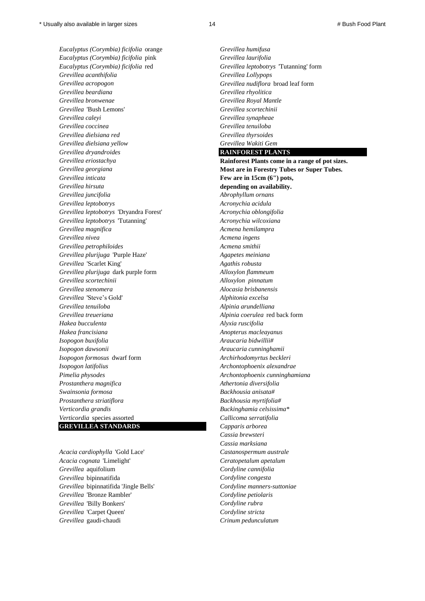*Eucalyptus (Corymbia) ficifolia* orange *Grevillea humifusa Eucalyptus (Corymbia) ficifolia* pink *Grevillea laurifolia Eucalyptus (Corymbia) ficifolia* red *Grevillea leptobotrys* 'Tutanning' form *Grevillea acanthifolia Grevillea Lollypops Grevillea acropogon Grevillea nudiflora* broad leaf form *Grevillea beardiana Grevillea rhyolitica Grevillea bronwenae Grevillea Royal Mantle Grevillea* 'Bush Lemons' *Grevillea scortechinii Grevillea caleyi Grevillea synapheae Grevillea coccinea Grevillea tenuiloba Grevillea dielsiana red Grevillea thyrsoides Grevillea dielsiana yellow Grevillea Wakiti Gem Grevillea dryandroides* **RAINFOREST PLANTS**  *Grevillea inticata* **Few are in 15cm (6") pots,**  *Grevillea hirsuta* **depending on availability.** *Grevillea juncifolia Abrophyllum ornans Grevillea leptobotrys Acronychia acidula Grevillea leptobotrys* 'Dryandra Forest' *Acronychia oblongifolia Grevillea leptobotrys* 'Tutanning' *Acronychia wilcoxiana Grevillea magnifica Acmena hemilampra Grevillea nivea Acmena ingens Grevillea petrophiloides Acmena smithii Grevillea plurijuga* 'Purple Haze' *Agapetes meiniana Grevillea* 'Scarlet King' *Agathis robusta Grevillea plurijuga* dark purple form *Alloxylon flammeum Grevillea scortechinii Alloxylon pinnatum Grevillea stenomera Alocasia brisbanensis Grevillea* 'Steve's Gold' *Alphitonia excelsa Grevillea tenuiloba Alpinia arundelliana Grevillea treueriana Alpinia coerulea* red back form *Hakea bucculenta Alyxia ruscifolia Hakea francisiana Anopterus macleayanus Isopogon buxifolia Araucaria bidwillii# Isopogon dawsonii Araucaria cunninghamii Isopogon formosus* dwarf form *Archirhodomyrtus beckleri Isopogon latifolius Archontophoenix alexandrae Pimelia physodes Archontophoenix cunninghamiana Prostanthera magnifica Athertonia diversifolia Swainsonia formosa Backhousia anisata# Prostanthera striatiflora Backhousia myrtifolia# Verticordia grandis Buckinghamia celsissima\* Verticordia* species assorted *Callicoma serratifolia* **GREVILLEA STANDARDS** *Capparis arborea*

*Acacia cardiophylla* 'Gold Lace' *Castanospermum australe Acacia cognata* 'Limelight' *Ceratopetalum apetalum Grevillea* aquifolium *Cordyline cannifolia Grevillea* bipinnatifida *Cordyline congesta Grevillea* bipinnatifida 'Jingle Bells' *Cordyline manners-suttoniae Grevillea* 'Bronze Rambler' *Cordyline petiolaris Grevillea* 'Billy Bonkers' *Cordyline rubra Grevillea* 'Carpet Queen' *Cordyline stricta Grevillea* gaudi-chaudi *Crinum pedunculatum*

*Grevillea eriostachya* **Rainforest Plants come in a range of pot sizes.** *Grevillea georgiana* **Most are in Forestry Tubes or Super Tubes.** *Cassia brewsteri Cassia marksiana*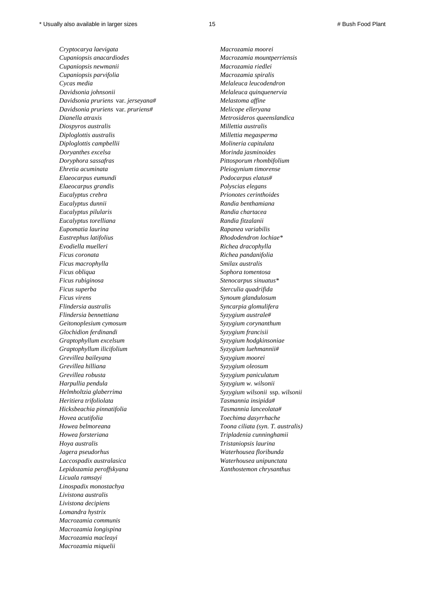*Cryptocarya laevigata Macrozamia moorei Cupaniopsis anacardiodes Macrozamia mountperriensis Cupaniopsis newmanii Macrozamia riedlei Cupaniopsis parvifolia Macrozamia spiralis Cycas media Melaleuca leucodendron Davidsonia johnsonii Melaleuca quinquenervia Davidsonia pruriens* var. *jerseyana# Melastoma affine Davidsonia pruriens* var. *pruriens# Melicope elleryana Dianella atraxis Metrosideros queenslandica Diospyros australis Millettia australis Diploglottis australis Millettia megasperma Diploglottis campbellii Molineria capitulata Doryanthes excelsa Morinda jasminoides Doryphora sassafras Pittosporum rhombifolium Ehretia acuminata Pleiogynium timorense Elaeocarpus eumundi Podocarpus elatus# Elaeocarpus grandis Polyscias elegans Eucalyptus crebra Prionotes cerinthoides Eucalyptus dunnii Randia benthamiana Eucalyptus pilularis Randia chartacea Eucalyptus torelliana Randia fitzalanii Eupomatia laurina Rapanea variabilis Eustrephus latifolius Rhododendron lochiae\* Evodiella muelleri Richea dracophylla Ficus coronata Richea pandanifolia Ficus macrophylla Smilax australis Ficus obliqua Sophora tomentosa Ficus rubiginosa Stenocarpus sinuatus\* Ficus superba Sterculia quadrifida Ficus virens Synoum glandulosum Flindersia australis Syncarpia glomulifera Flindersia bennettiana Syzygium australe# Geitonoplesium cymosum Syzygium corynanthum Glochidion ferdinandi Syzygium francisii Graptophyllum excelsum Syzygium hodgkinsoniae Graptophyllum ilicifolium Syzygium luehmannii# Grevillea baileyana Syzygium moorei Grevillea hilliana Syzygium oleosum Grevillea robusta Syzygium paniculatum Harpullia pendula Syzygium w. wilsonii Helmholtzia glaberrima Syzygium wilsonii* ssp. *wilsonii Heritiera trifoliolata Tasmannia insipida# Hicksbeachia pinnatifolia Tasmannia lanceolata# Hovea acutifolia Toechima dasyrrhache Howea belmoreana Toona ciliata (syn. T. australis) Howea forsteriana Tripladenia cunninghamii Hoya australis Tristaniopsis laurina Jagera pseudorhus Waterhousea floribunda Laccospadix australasica Waterhousea unipunctata Lepidozamia peroffskyana Xanthostemon chrysanthus Licuala ramsayi Linospadix monostachya Livistona australis Livistona decipiens Lomandra hystrix Macrozamia communis Macrozamia longispina Macrozamia macleayi Macrozamia miquelii*